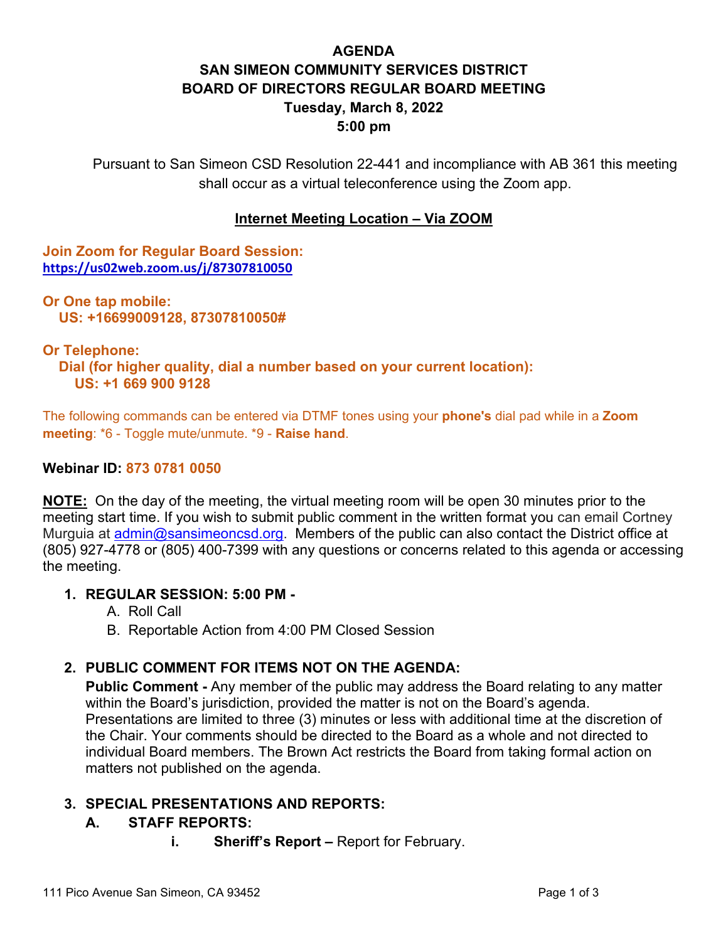# **AGENDA SAN SIMEON COMMUNITY SERVICES DISTRICT BOARD OF DIRECTORS REGULAR BOARD MEETING Tuesday, March 8, 2022 5:00 pm**

Pursuant to San Simeon CSD Resolution 22-441 and incompliance with AB 361 this meeting shall occur as a virtual teleconference using the Zoom app.

### **Internet Meeting Location – Via ZOOM**

**Join Zoom for Regular Board Session: <https://us02web.zoom.us/j/87307810050>**

**Or One tap mobile: US: +16699009128, 87307810050#** 

#### **Or Telephone:**

 **Dial (for higher quality, dial a number based on your current location): US: +1 669 900 9128** 

The following commands can be entered via DTMF tones using your **phone's** dial pad while in a **Zoom meeting**: \*6 - Toggle mute/unmute. \*9 - **Raise hand**.

#### **Webinar ID: 873 0781 0050**

**NOTE:** On the day of the meeting, the virtual meeting room will be open 30 minutes prior to the meeting start time. If you wish to submit public comment in the written format you can email Cortney Murguia at [admin@sansimeoncsd.org.](mailto:admin@sansimeoncsd.org) Members of the public can also contact the District office at (805) 927-4778 or (805) 400-7399 with any questions or concerns related to this agenda or accessing the meeting.

#### **1. REGULAR SESSION: 5:00 PM -**

- A. Roll Call
- B. Reportable Action from 4:00 PM Closed Session

#### **2. PUBLIC COMMENT FOR ITEMS NOT ON THE AGENDA:**

**Public Comment -** Any member of the public may address the Board relating to any matter within the Board's jurisdiction, provided the matter is not on the Board's agenda. Presentations are limited to three (3) minutes or less with additional time at the discretion of the Chair. Your comments should be directed to the Board as a whole and not directed to individual Board members. The Brown Act restricts the Board from taking formal action on matters not published on the agenda.

#### **3. SPECIAL PRESENTATIONS AND REPORTS:**

#### **A. STAFF REPORTS:**

**i. Sheriff's Report –** Report for February.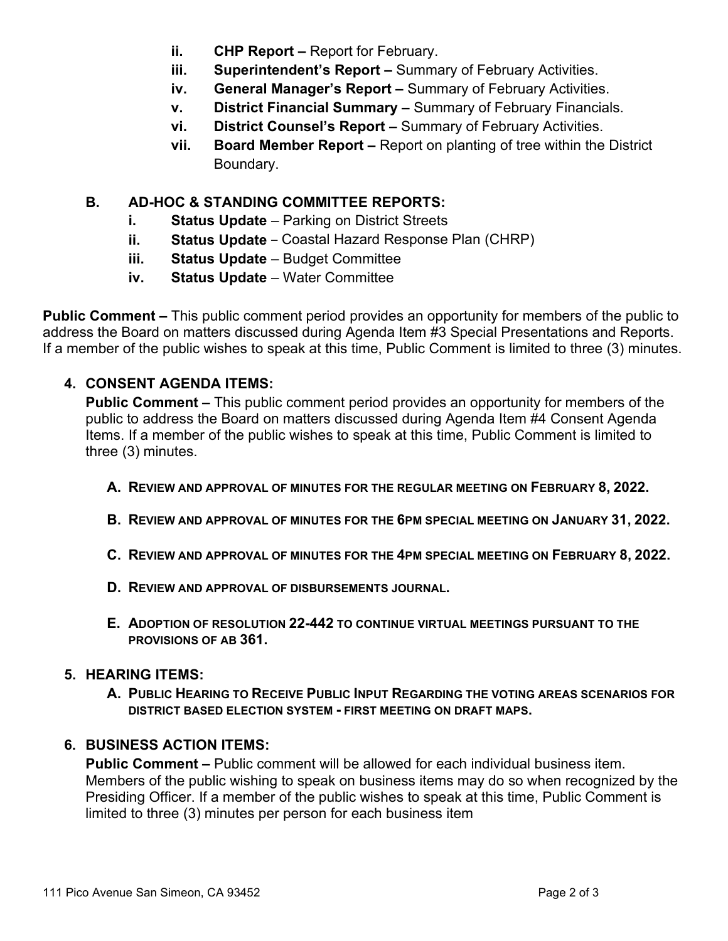- **ii.** CHP Report Report for February.
- **iii. Superintendent's Report –** Summary of February Activities.
- **iv. General Manager's Report –** Summary of February Activities.
- **v. District Financial Summary –** Summary of February Financials.
- **vi. District Counsel's Report –** Summary of February Activities.
- **vii. Board Member Report –** Report on planting of tree within the District Boundary.

# **B. AD-HOC & STANDING COMMITTEE REPORTS:**

- **i. Status Update** Parking on District Streets
- **ii. Status Update**  Coastal Hazard Response Plan (CHRP)
- **iii. Status Update** Budget Committee
- **iv. Status Update** Water Committee

**Public Comment –** This public comment period provides an opportunity for members of the public to address the Board on matters discussed during Agenda Item #3 Special Presentations and Reports. If a member of the public wishes to speak at this time, Public Comment is limited to three (3) minutes.

## **4. CONSENT AGENDA ITEMS:**

**Public Comment –** This public comment period provides an opportunity for members of the public to address the Board on matters discussed during Agenda Item #4 Consent Agenda Items. If a member of the public wishes to speak at this time, Public Comment is limited to three (3) minutes.

- **A. REVIEW AND APPROVAL OF MINUTES FOR THE REGULAR MEETING ON FEBRUARY 8, 2022.**
- **B. REVIEW AND APPROVAL OF MINUTES FOR THE 6PM SPECIAL MEETING ON JANUARY 31, 2022.**
- **C. REVIEW AND APPROVAL OF MINUTES FOR THE 4PM SPECIAL MEETING ON FEBRUARY 8, 2022.**
- **D. REVIEW AND APPROVAL OF DISBURSEMENTS JOURNAL.**
- **E. ADOPTION OF RESOLUTION 22-442 TO CONTINUE VIRTUAL MEETINGS PURSUANT TO THE PROVISIONS OF AB 361.**

## **5. HEARING ITEMS:**

**A. PUBLIC HEARING TO RECEIVE PUBLIC INPUT REGARDING THE VOTING AREAS SCENARIOS FOR DISTRICT BASED ELECTION SYSTEM - FIRST MEETING ON DRAFT MAPS.**

## **6. BUSINESS ACTION ITEMS:**

**Public Comment –** Public comment will be allowed for each individual business item. Members of the public wishing to speak on business items may do so when recognized by the Presiding Officer. If a member of the public wishes to speak at this time, Public Comment is limited to three (3) minutes per person for each business item